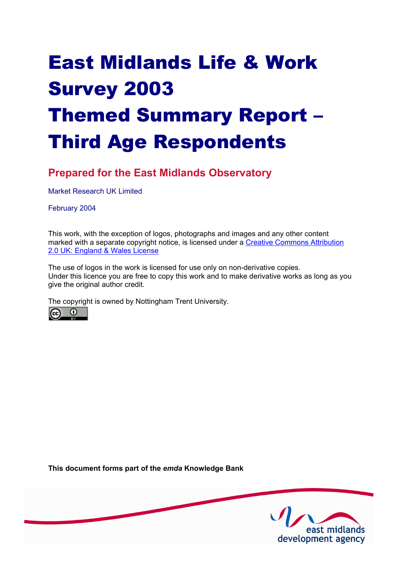# East Midlands Life & Work Survey 2003 Themed Summary Report – Third Age Respondents

# **Prepared for the East Midlands Observatory**

Market Research UK Limited

February 2004

This work, with the exception of logos, photographs and images and any other content [marked with a separate copyright notice, is licensed under a Creative Commons Attribution](http://creativecommons.org/licenses/by/2.0/uk) 2.0 UK: England & Wales License

The use of logos in the work is licensed for use only on non-derivative copies. Under this licence you are free to copy this work and to make derivative works as long as you give the original author credit.

The copyright is owned by Nottingham Trent University.



**This document forms part of the** *emda* **Knowledge Bank** 

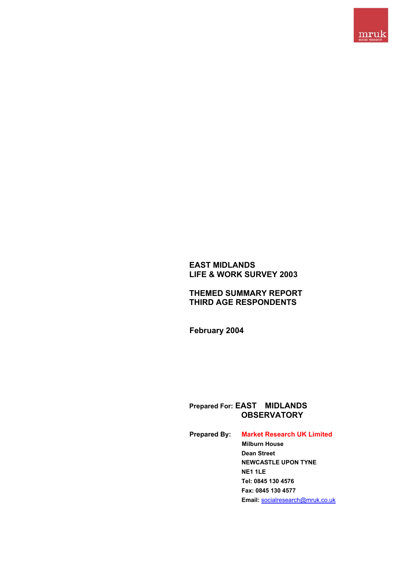

## **EAST MIDLANDS LIFE & WORK SURVEY 2003**

## **THEMED SUMMARY REPORT THIRD AGE RESPONDENTS**

**February 2004**

## **Prepared For: EAST MIDLANDS OBSERVATORY**

**Prepared By: Market Research UK Limited Milburn House Dean Street NEWCASTLE UPON TYNE NE1 1LE Tel: 0845 130 4576 Fax: 0845 130 4577 Email:** socialresearch@mruk.co.uk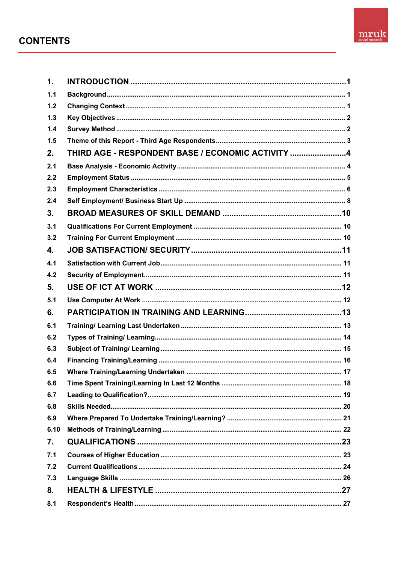# **CONTENTS**



| $\mathbf 1$ .  |                                                   |
|----------------|---------------------------------------------------|
| 1.1            |                                                   |
| 1.2            |                                                   |
| 1.3            |                                                   |
| 1.4            |                                                   |
| 1.5            |                                                   |
| 2.             | THIRD AGE - RESPONDENT BASE / ECONOMIC ACTIVITY 4 |
| 2.1            |                                                   |
| 2.2            |                                                   |
| 2.3            |                                                   |
| 2.4            |                                                   |
| 3 <sub>1</sub> |                                                   |
| 3.1            |                                                   |
| 3.2            |                                                   |
| 4.             |                                                   |
| 4.1            |                                                   |
| 4.2            |                                                   |
| 5.             |                                                   |
| 5.1            |                                                   |
| 6.             |                                                   |
| 6.1            |                                                   |
| 6.2            |                                                   |
| 6.3            |                                                   |
| 6.4            |                                                   |
| 6.5            |                                                   |
| 6.6            |                                                   |
| 6.7            |                                                   |
| 6.8            |                                                   |
| 6.9            |                                                   |
| 6.10           |                                                   |
| 7.             |                                                   |
| 7.1            |                                                   |
| 7.2            |                                                   |
| 7.3            |                                                   |
| 8.             |                                                   |
| 8.1            |                                                   |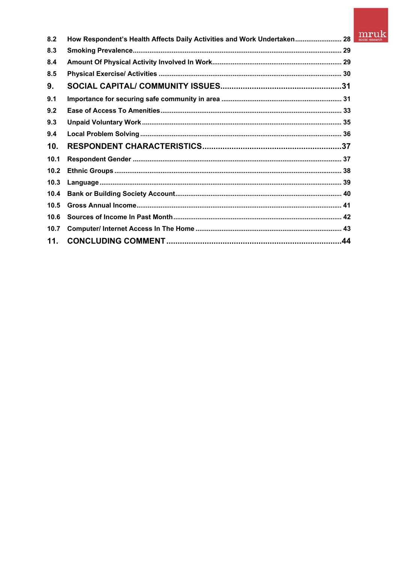# $\underset{\text{social research}}{\text{mruk}}$

| 8.2  | How Respondent's Health Affects Daily Activities and Work Undertaken 28 |  |
|------|-------------------------------------------------------------------------|--|
| 8.3  |                                                                         |  |
| 8.4  |                                                                         |  |
| 8.5  |                                                                         |  |
| 9.   |                                                                         |  |
| 9.1  |                                                                         |  |
| 9.2  |                                                                         |  |
| 9.3  |                                                                         |  |
| 9.4  |                                                                         |  |
| 10.  |                                                                         |  |
| 10.1 |                                                                         |  |
| 10.2 |                                                                         |  |
| 10.3 |                                                                         |  |
| 10.4 |                                                                         |  |
| 10.5 |                                                                         |  |
| 10.6 |                                                                         |  |
| 10.7 |                                                                         |  |
| 11.  |                                                                         |  |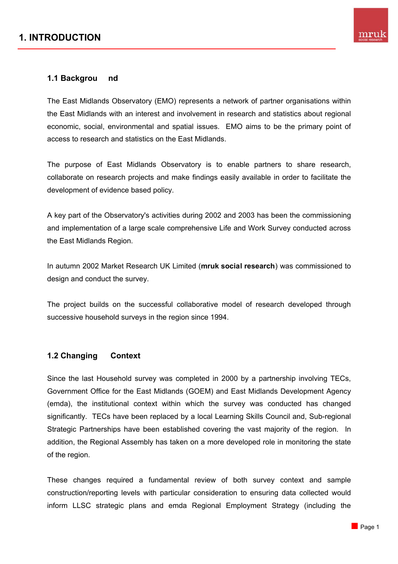# **1. INTRODUCTION**



#### **1.1 Backgrou nd**

The East Midlands Observatory (EMO) represents a network of partner organisations within the East Midlands with an interest and involvement in research and statistics about regional economic, social, environmental and spatial issues. EMO aims to be the primary point of access to research and statistics on the East Midlands.

The purpose of East Midlands Observatory is to enable partners to share research, collaborate on research projects and make findings easily available in order to facilitate the development of evidence based policy.

A key part of the Observatory's activities during 2002 and 2003 has been the commissioning and implementation of a large scale comprehensive Life and Work Survey conducted across the East Midlands Region.

In autumn 2002 Market Research UK Limited (**mruk social research**) was commissioned to design and conduct the survey.

The project builds on the successful collaborative model of research developed through successive household surveys in the region since 1994.

#### **1.2 Changing Context**

Since the last Household survey was completed in 2000 by a partnership involving TECs, Government Office for the East Midlands (GOEM) and East Midlands Development Agency (emda), the institutional context within which the survey was conducted has changed significantly. TECs have been replaced by a local Learning Skills Council and, Sub-regional Strategic Partnerships have been established covering the vast majority of the region. In addition, the Regional Assembly has taken on a more developed role in monitoring the state of the region.

These changes required a fundamental review of both survey context and sample construction/reporting levels with particular consideration to ensuring data collected would inform LLSC strategic plans and emda Regional Employment Strategy (including the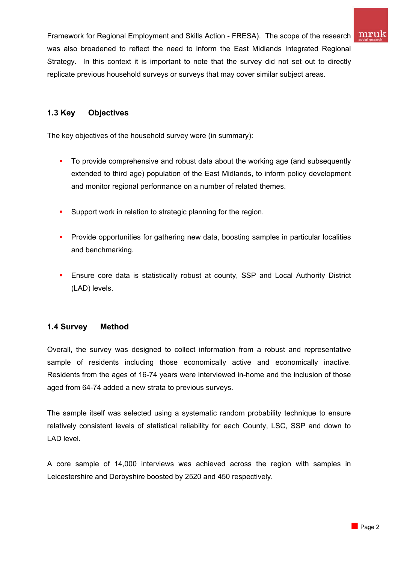

Framework for Regional Employment and Skills Action - FRESA). The scope of the research was also broadened to reflect the need to inform the East Midlands Integrated Regional Strategy. In this context it is important to note that the survey did not set out to directly replicate previous household surveys or surveys that may cover similar subject areas.

## **1.3 Key Objectives**

The key objectives of the household survey were (in summary):

- To provide comprehensive and robust data about the working age (and subsequently extended to third age) population of the East Midlands, to inform policy development and monitor regional performance on a number of related themes.
- **Support work in relation to strategic planning for the region.**
- **Provide opportunities for gathering new data, boosting samples in particular localities** and benchmarking.
- **Ensure core data is statistically robust at county, SSP and Local Authority District** (LAD) levels.

## **1.4 Survey Method**

Overall, the survey was designed to collect information from a robust and representative sample of residents including those economically active and economically inactive. Residents from the ages of 16-74 years were interviewed in-home and the inclusion of those aged from 64-74 added a new strata to previous surveys.

The sample itself was selected using a systematic random probability technique to ensure relatively consistent levels of statistical reliability for each County, LSC, SSP and down to LAD level.

A core sample of 14,000 interviews was achieved across the region with samples in Leicestershire and Derbyshire boosted by 2520 and 450 respectively.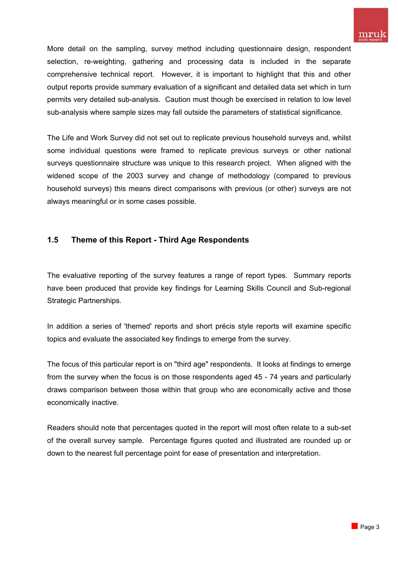More detail on the sampling, survey method including questionnaire design, respondent selection, re-weighting, gathering and processing data is included in the separate comprehensive technical report. However, it is important to highlight that this and other output reports provide summary evaluation of a significant and detailed data set which in turn permits very detailed sub-analysis. Caution must though be exercised in relation to low level sub-analysis where sample sizes may fall outside the parameters of statistical significance.

The Life and Work Survey did not set out to replicate previous household surveys and, whilst some individual questions were framed to replicate previous surveys or other national surveys questionnaire structure was unique to this research project. When aligned with the widened scope of the 2003 survey and change of methodology (compared to previous household surveys) this means direct comparisons with previous (or other) surveys are not always meaningful or in some cases possible.

## **1.5 Theme of this Report - Third Age Respondents**

The evaluative reporting of the survey features a range of report types. Summary reports have been produced that provide key findings for Learning Skills Council and Sub-regional Strategic Partnerships.

In addition a series of 'themed' reports and short précis style reports will examine specific topics and evaluate the associated key findings to emerge from the survey.

The focus of this particular report is on "third age" respondents. It looks at findings to emerge from the survey when the focus is on those respondents aged 45 - 74 years and particularly draws comparison between those within that group who are economically active and those economically inactive.

Readers should note that percentages quoted in the report will most often relate to a sub-set of the overall survey sample. Percentage figures quoted and illustrated are rounded up or down to the nearest full percentage point for ease of presentation and interpretation.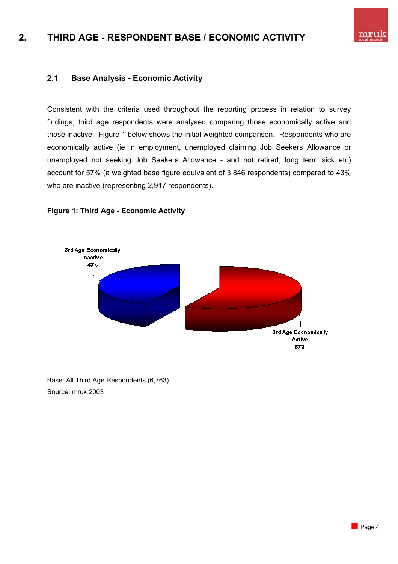

## **2.1 Base Analysis - Economic Activity**

Consistent with the criteria used throughout the reporting process in relation to survey findings, third age respondents were analysed comparing those economically active and those inactive. Figure 1 below shows the initial weighted comparison. Respondents who are economically active (ie in employment, unemployed claiming Job Seekers Allowance or unemployed not seeking Job Seekers Allowance - and not retired, long term sick etc) account for 57% (a weighted base figure equivalent of 3,846 respondents) compared to 43% who are inactive (representing 2,917 respondents).



**Figure 1: Third Age - Economic Activity** 

Base: All Third Age Respondents (6,763) Source: mruk 2003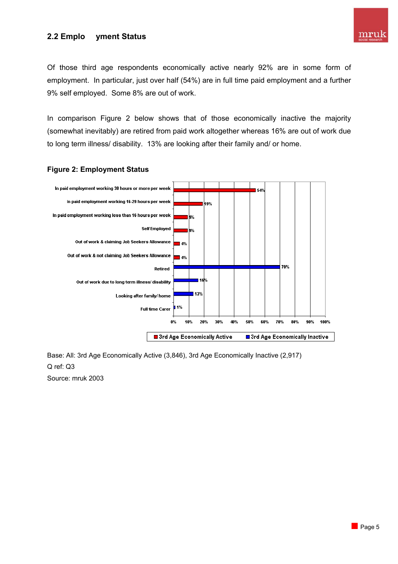## **2.2 Emplo yment Status**



Of those third age respondents economically active nearly 92% are in some form of employment. In particular, just over half (54%) are in full time paid employment and a further 9% self employed. Some 8% are out of work.

In comparison Figure 2 below shows that of those economically inactive the majority (somewhat inevitably) are retired from paid work altogether whereas 16% are out of work due to long term illness/ disability. 13% are looking after their family and/ or home.



#### **Figure 2: Employment Status**

Base: All: 3rd Age Economically Active (3,846), 3rd Age Economically Inactive (2,917) Q ref: Q3 Source: mruk 2003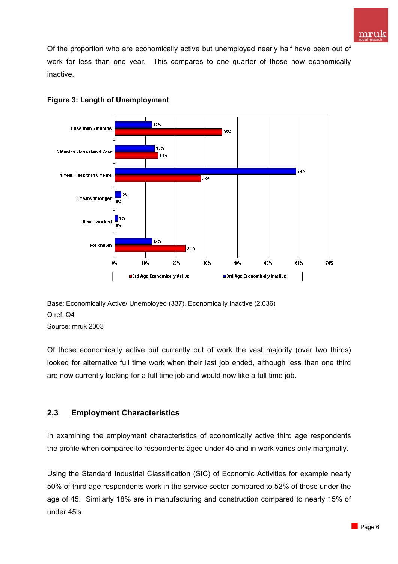Of the proportion who are economically active but unemployed nearly half have been out of work for less than one year. This compares to one quarter of those now economically inactive.



## **Figure 3: Length of Unemployment**



Source: mruk 2003

Of those economically active but currently out of work the vast majority (over two thirds) looked for alternative full time work when their last job ended, although less than one third are now currently looking for a full time job and would now like a full time job.

## **2.3 Employment Characteristics**

In examining the employment characteristics of economically active third age respondents the profile when compared to respondents aged under 45 and in work varies only marginally.

Using the Standard Industrial Classification (SIC) of Economic Activities for example nearly 50% of third age respondents work in the service sector compared to 52% of those under the age of 45. Similarly 18% are in manufacturing and construction compared to nearly 15% of under 45's.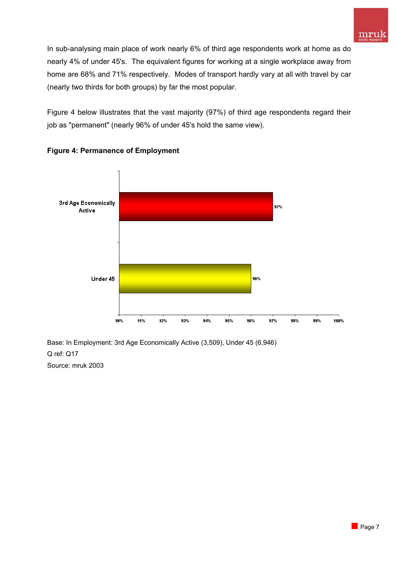In sub-analysing main place of work nearly 6% of third age respondents work at home as do nearly 4% of under 45's. The equivalent figures for working at a single workplace away from home are 68% and 71% respectively. Modes of transport hardly vary at all with travel by car (nearly two thirds for both groups) by far the most popular.

Figure 4 below illustrates that the vast majority (97%) of third age respondents regard their job as "permanent" (nearly 96% of under 45's hold the same view).



## **Figure 4: Permanence of Employment**

Base: In Employment: 3rd Age Economically Active (3,509), Under 45 (6,946) Q ref: Q17 Source: mruk 2003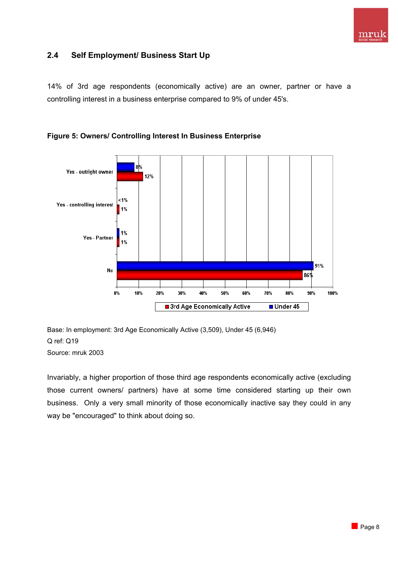

## **2.4 Self Employment/ Business Start Up**

14% of 3rd age respondents (economically active) are an owner, partner or have a controlling interest in a business enterprise compared to 9% of under 45's.





Base: In employment: 3rd Age Economically Active (3,509), Under 45 (6,946) Q ref: Q19 Source: mruk 2003

Invariably, a higher proportion of those third age respondents economically active (excluding those current owners/ partners) have at some time considered starting up their own business. Only a very small minority of those economically inactive say they could in any way be "encouraged" to think about doing so.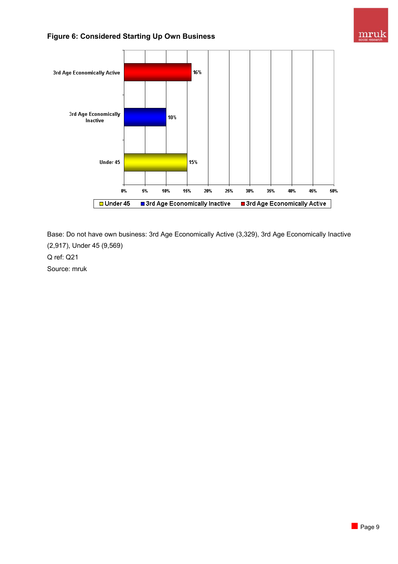

## **Figure 6: Considered Starting Up Own Business**



Base: Do not have own business: 3rd Age Economically Active (3,329), 3rd Age Economically Inactive (2,917), Under 45 (9,569) Q ref: Q21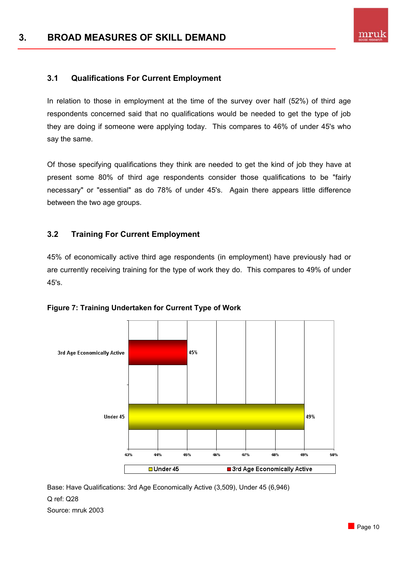

## **3.1 Qualifications For Current Employment**

In relation to those in employment at the time of the survey over half (52%) of third age respondents concerned said that no qualifications would be needed to get the type of job they are doing if someone were applying today. This compares to 46% of under 45's who say the same.

Of those specifying qualifications they think are needed to get the kind of job they have at present some 80% of third age respondents consider those qualifications to be "fairly necessary" or "essential" as do 78% of under 45's. Again there appears little difference between the two age groups.

#### **3.2 Training For Current Employment**

45% of economically active third age respondents (in employment) have previously had or are currently receiving training for the type of work they do. This compares to 49% of under 45's.



**Figure 7: Training Undertaken for Current Type of Work** 

Base: Have Qualifications: 3rd Age Economically Active (3,509), Under 45 (6,946) Q ref: Q28 Source: mruk 2003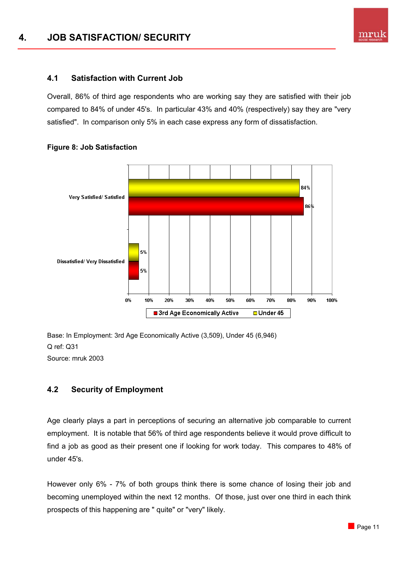## **4.1 Satisfaction with Current Job**

Overall, 86% of third age respondents who are working say they are satisfied with their job compared to 84% of under 45's. In particular 43% and 40% (respectively) say they are "very satisfied". In comparison only 5% in each case express any form of dissatisfaction.



#### **Figure 8: Job Satisfaction**

Base: In Employment: 3rd Age Economically Active (3,509), Under 45 (6,946) Q ref: Q31 Source: mruk 2003

## **4.2 Security of Employment**

Age clearly plays a part in perceptions of securing an alternative job comparable to current employment. It is notable that 56% of third age respondents believe it would prove difficult to find a job as good as their present one if looking for work today. This compares to 48% of under 45's.

However only 6% - 7% of both groups think there is some chance of losing their job and becoming unemployed within the next 12 months. Of those, just over one third in each think prospects of this happening are " quite" or "very" likely.

mru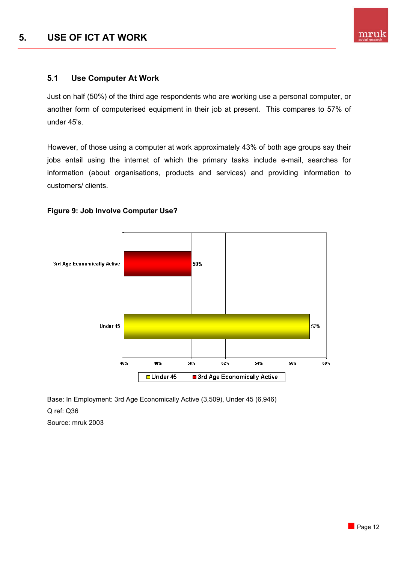## **5.1 Use Computer At Work**

Just on half (50%) of the third age respondents who are working use a personal computer, or another form of computerised equipment in their job at present. This compares to 57% of under 45's.

However, of those using a computer at work approximately 43% of both age groups say their jobs entail using the internet of which the primary tasks include e-mail, searches for information (about organisations, products and services) and providing information to customers/ clients.



## **Figure 9: Job Involve Computer Use?**

Base: In Employment: 3rd Age Economically Active (3,509), Under 45 (6,946) Q ref: Q36 Source: mruk 2003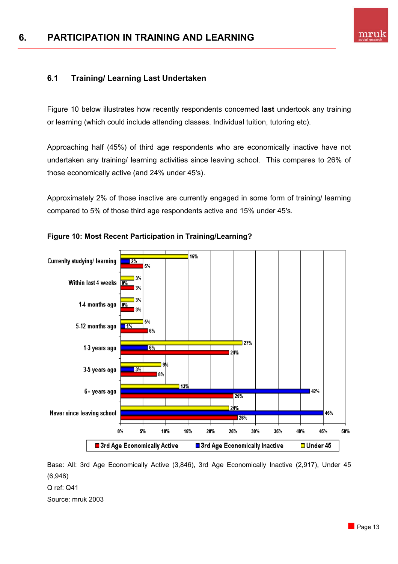

## **6.1 Training/ Learning Last Undertaken**

Figure 10 below illustrates how recently respondents concerned **last** undertook any training or learning (which could include attending classes. Individual tuition, tutoring etc).

Approaching half (45%) of third age respondents who are economically inactive have not undertaken any training/ learning activities since leaving school. This compares to 26% of those economically active (and 24% under 45's).

Approximately 2% of those inactive are currently engaged in some form of training/ learning compared to 5% of those third age respondents active and 15% under 45's.



## **Figure 10: Most Recent Participation in Training/Learning?**

Base: All: 3rd Age Economically Active (3,846), 3rd Age Economically Inactive (2,917), Under 45 (6,946) Q ref: Q41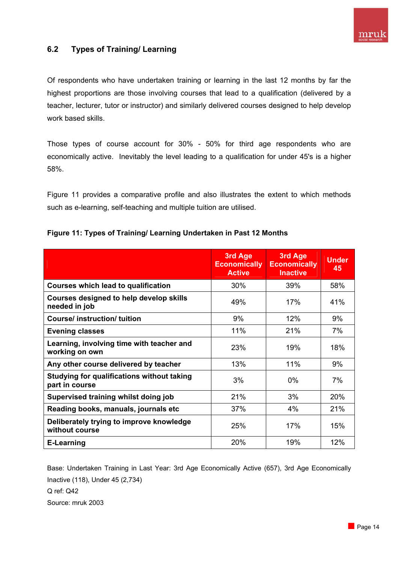

## **6.2 Types of Training/ Learning**

Of respondents who have undertaken training or learning in the last 12 months by far the highest proportions are those involving courses that lead to a qualification (delivered by a teacher, lecturer, tutor or instructor) and similarly delivered courses designed to help develop work based skills.

Those types of course account for 30% - 50% for third age respondents who are economically active. Inevitably the level leading to a qualification for under 45's is a higher 58%.

Figure 11 provides a comparative profile and also illustrates the extent to which methods such as e-learning, self-teaching and multiple tuition are utilised.

|                                                                     | 3rd Age<br><b>Economically</b><br><b>Active</b> | 3rd Age<br><b>Economically</b><br><b>Inactive</b> | <b>Under</b><br>45 |
|---------------------------------------------------------------------|-------------------------------------------------|---------------------------------------------------|--------------------|
| <b>Courses which lead to qualification</b>                          | 30%                                             | 39%                                               | 58%                |
| <b>Courses designed to help develop skills</b><br>needed in job     | 49%                                             | 17%                                               | 41%                |
| <b>Course/instruction/tuition</b>                                   | 9%                                              | 12%                                               | 9%                 |
| <b>Evening classes</b>                                              | 11%                                             | 21%                                               | 7%                 |
| Learning, involving time with teacher and<br>working on own         | 23%                                             | 19%                                               | 18%                |
| Any other course delivered by teacher                               | 13%                                             | 11%                                               | 9%                 |
| <b>Studying for qualifications without taking</b><br>part in course | 3%                                              | $0\%$                                             | 7%                 |
| Supervised training whilst doing job                                | 21%                                             | 3%                                                | 20%                |
| Reading books, manuals, journals etc                                | 37%                                             | 4%                                                | 21%                |
| Deliberately trying to improve knowledge<br>without course          | 25%                                             | 17%                                               | 15%                |
| <b>E-Learning</b>                                                   | 20%                                             | 19%                                               | 12%                |

#### **Figure 11: Types of Training/ Learning Undertaken in Past 12 Months**

Base: Undertaken Training in Last Year: 3rd Age Economically Active (657), 3rd Age Economically Inactive (118), Under 45 (2,734) Q ref: Q42 Source: mruk 2003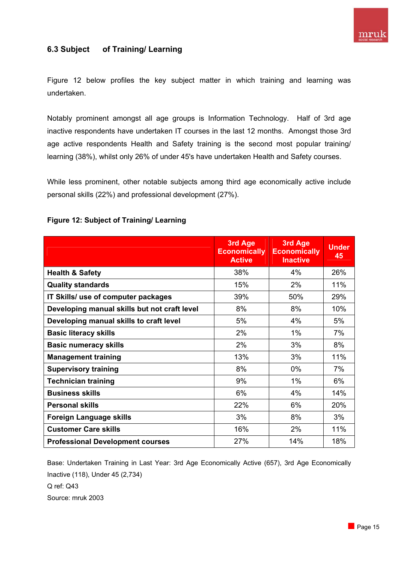

## **6.3 Subject of Training/ Learning**

Figure 12 below profiles the key subject matter in which training and learning was undertaken.

Notably prominent amongst all age groups is Information Technology. Half of 3rd age inactive respondents have undertaken IT courses in the last 12 months. Amongst those 3rd age active respondents Health and Safety training is the second most popular training/ learning (38%), whilst only 26% of under 45's have undertaken Health and Safety courses.

While less prominent, other notable subjects among third age economically active include personal skills (22%) and professional development (27%).

|                                              | 3rd Age<br><b>Economically</b><br><b>Active</b> | 3rd Age<br><b>Economically</b><br><b>Inactive</b> | <b>Under</b><br>45 |
|----------------------------------------------|-------------------------------------------------|---------------------------------------------------|--------------------|
| <b>Health &amp; Safety</b>                   | 38%                                             | 4%                                                | 26%                |
| <b>Quality standards</b>                     | 15%                                             | 2%                                                | 11%                |
| IT Skills/ use of computer packages          | 39%                                             | 50%                                               | 29%                |
| Developing manual skills but not craft level | 8%                                              | 8%                                                | 10%                |
| Developing manual skills to craft level      | 5%                                              | 4%                                                | 5%                 |
| <b>Basic literacy skills</b>                 | 2%                                              | 1%                                                | 7%                 |
| <b>Basic numeracy skills</b>                 | 2%                                              | 3%                                                | 8%                 |
| <b>Management training</b>                   | 13%                                             | 3%                                                | 11%                |
| <b>Supervisory training</b>                  | 8%                                              | 0%                                                | 7%                 |
| <b>Technician training</b>                   | 9%                                              | 1%                                                | 6%                 |
| <b>Business skills</b>                       | 6%                                              | 4%                                                | 14%                |
| <b>Personal skills</b>                       | 22%                                             | 6%                                                | 20%                |
| <b>Foreign Language skills</b>               | 3%                                              | 8%                                                | 3%                 |
| <b>Customer Care skills</b>                  | 16%                                             | 2%                                                | 11%                |
| <b>Professional Development courses</b>      | 27%                                             | 14%                                               | 18%                |

#### **Figure 12: Subject of Training/ Learning**

Base: Undertaken Training in Last Year: 3rd Age Economically Active (657), 3rd Age Economically Inactive (118), Under 45 (2,734) Q ref: Q43 Source: mruk 2003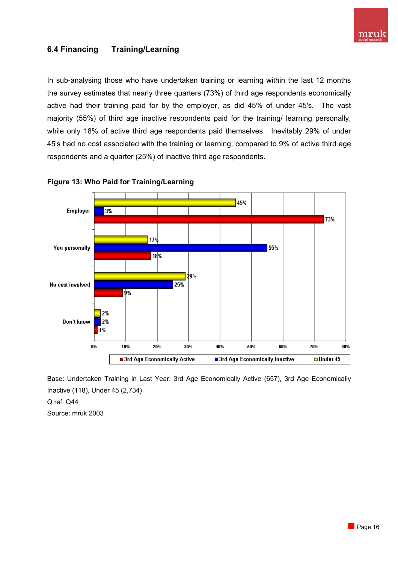

## **6.4 Financing Training/Learning**

In sub-analysing those who have undertaken training or learning within the last 12 months the survey estimates that nearly three quarters (73%) of third age respondents economically active had their training paid for by the employer, as did 45% of under 45's. The vast majority (55%) of third age inactive respondents paid for the training/ learning personally, while only 18% of active third age respondents paid themselves. Inevitably 29% of under 45's had no cost associated with the training or learning, compared to 9% of active third age respondents and a quarter (25%) of inactive third age respondents.





Base: Undertaken Training in Last Year: 3rd Age Economically Active (657), 3rd Age Economically Inactive (118), Under 45 (2,734)

Q ref: Q44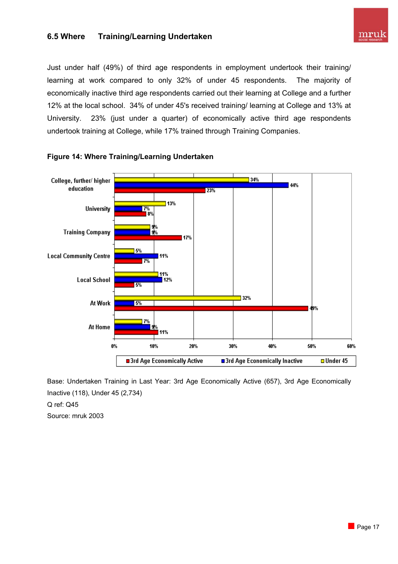## **6.5 Where Training/Learning Undertaken**



Just under half (49%) of third age respondents in employment undertook their training/ learning at work compared to only 32% of under 45 respondents. The majority of economically inactive third age respondents carried out their learning at College and a further 12% at the local school. 34% of under 45's received training/ learning at College and 13% at University. 23% (just under a quarter) of economically active third age respondents undertook training at College, while 17% trained through Training Companies.



#### **Figure 14: Where Training/Learning Undertaken**

Base: Undertaken Training in Last Year: 3rd Age Economically Active (657), 3rd Age Economically Inactive (118), Under 45 (2,734)

Q ref: Q45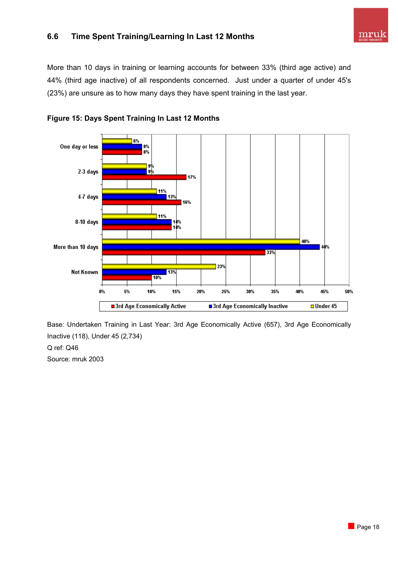## **6.6 Time Spent Training/Learning In Last 12 Months**

More than 10 days in training or learning accounts for between 33% (third age active) and 44% (third age inactive) of all respondents concerned. Just under a quarter of under 45's (23%) are unsure as to how many days they have spent training in the last year.





Base: Undertaken Training in Last Year: 3rd Age Economically Active (657), 3rd Age Economically Inactive (118), Under 45 (2,734)

#### Q ref: Q46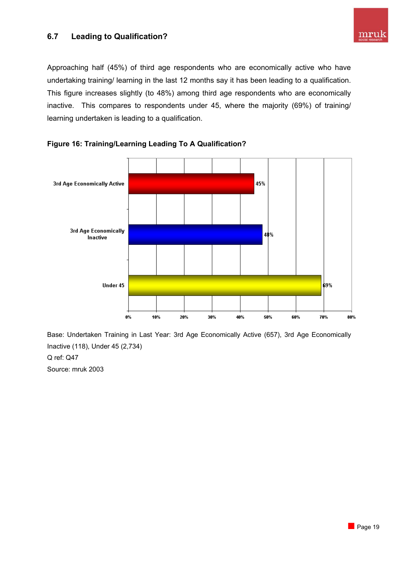## **6.7 Leading to Qualification?**

Approaching half (45%) of third age respondents who are economically active who have undertaking training/ learning in the last 12 months say it has been leading to a qualification. This figure increases slightly (to 48%) among third age respondents who are economically inactive. This compares to respondents under 45, where the majority (69%) of training/ learning undertaken is leading to a qualification.





Base: Undertaken Training in Last Year: 3rd Age Economically Active (657), 3rd Age Economically Inactive (118), Under 45 (2,734)

Q ref: Q47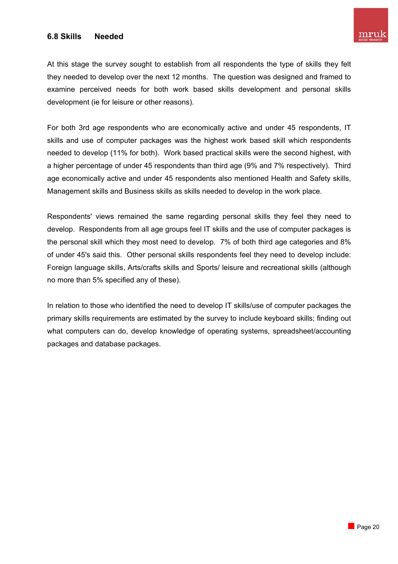## **6.8 Skills Needed**

At this stage the survey sought to establish from all respondents the type of skills they felt they needed to develop over the next 12 months. The question was designed and framed to examine perceived needs for both work based skills development and personal skills development (ie for leisure or other reasons).

For both 3rd age respondents who are economically active and under 45 respondents, IT skills and use of computer packages was the highest work based skill which respondents needed to develop (11% for both). Work based practical skills were the second highest, with a higher percentage of under 45 respondents than third age (9% and 7% respectively). Third age economically active and under 45 respondents also mentioned Health and Safety skills, Management skills and Business skills as skills needed to develop in the work place.

Respondents' views remained the same regarding personal skills they feel they need to develop. Respondents from all age groups feel IT skills and the use of computer packages is the personal skill which they most need to develop. 7% of both third age categories and 8% of under 45's said this. Other personal skills respondents feel they need to develop include: Foreign language skills, Arts/crafts skills and Sports/ leisure and recreational skills (although no more than 5% specified any of these).

In relation to those who identified the need to develop IT skills/use of computer packages the primary skills requirements are estimated by the survey to include keyboard skills; finding out what computers can do, develop knowledge of operating systems, spreadsheet/accounting packages and database packages.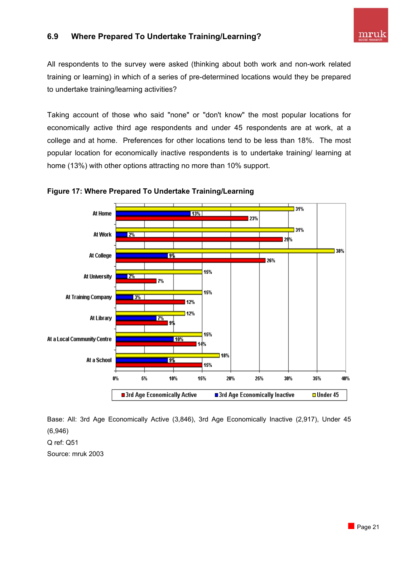## **6.9 Where Prepared To Undertake Training/Learning?**



All respondents to the survey were asked (thinking about both work and non-work related training or learning) in which of a series of pre-determined locations would they be prepared to undertake training/learning activities?

Taking account of those who said "none" or "don't know" the most popular locations for economically active third age respondents and under 45 respondents are at work, at a college and at home. Preferences for other locations tend to be less than 18%. The most popular location for economically inactive respondents is to undertake training/ learning at home (13%) with other options attracting no more than 10% support.



**Figure 17: Where Prepared To Undertake Training/Learning** 

Base: All: 3rd Age Economically Active (3,846), 3rd Age Economically Inactive (2,917), Under 45 (6,946)

Q ref: Q51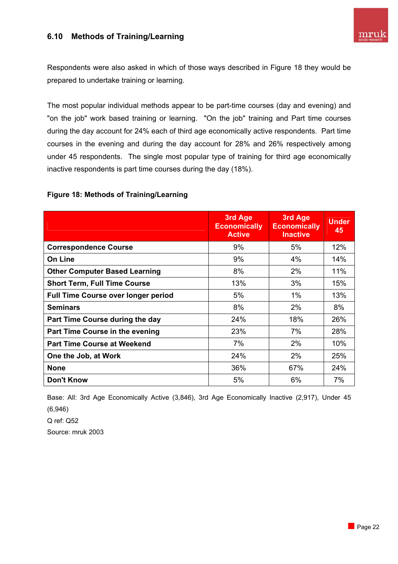## **6.10 Methods of Training/Learning**



Respondents were also asked in which of those ways described in Figure 18 they would be prepared to undertake training or learning.

The most popular individual methods appear to be part-time courses (day and evening) and "on the job" work based training or learning. "On the job" training and Part time courses during the day account for 24% each of third age economically active respondents. Part time courses in the evening and during the day account for 28% and 26% respectively among under 45 respondents. The single most popular type of training for third age economically inactive respondents is part time courses during the day (18%).

#### **Figure 18: Methods of Training/Learning**

|                                            | 3rd Age<br><b>Economically</b><br><b>Active</b> | 3rd Age<br><b>Economically</b><br><b>Inactive</b> | <b>Under</b><br>45 |
|--------------------------------------------|-------------------------------------------------|---------------------------------------------------|--------------------|
| <b>Correspondence Course</b>               | 9%                                              | 5%                                                | 12%                |
| <b>On Line</b>                             | 9%                                              | 4%                                                | 14%                |
| <b>Other Computer Based Learning</b>       | 8%                                              | 2%                                                | 11%                |
| <b>Short Term, Full Time Course</b>        | 13%                                             | 3%                                                | 15%                |
| <b>Full Time Course over longer period</b> | 5%                                              | 1%                                                | 13%                |
| <b>Seminars</b>                            | 8%                                              | 2%                                                | 8%                 |
| Part Time Course during the day            | 24%                                             | 18%                                               | 26%                |
| Part Time Course in the evening            | 23%                                             | 7%                                                | 28%                |
| <b>Part Time Course at Weekend</b>         | 7%                                              | 2%                                                | 10%                |
| One the Job, at Work                       | 24%                                             | 2%                                                | 25%                |
| <b>None</b>                                | 36%                                             | 67%                                               | 24%                |
| <b>Don't Know</b>                          | 5%                                              | 6%                                                | 7%                 |

Base: All: 3rd Age Economically Active (3,846), 3rd Age Economically Inactive (2,917), Under 45 (6,946)

Q ref: Q52 Source: mruk 2003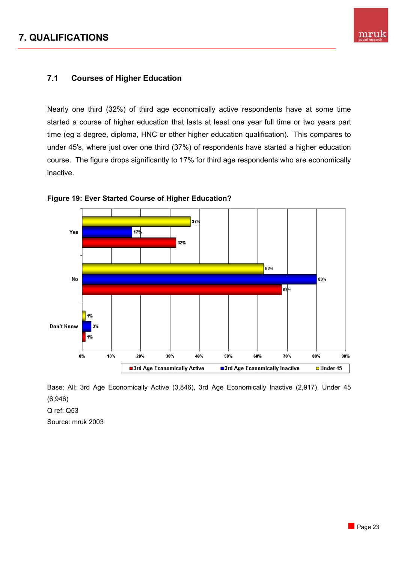# **7. QUALIFICATIONS**



## **7.1 Courses of Higher Education**

Nearly one third (32%) of third age economically active respondents have at some time started a course of higher education that lasts at least one year full time or two years part time (eg a degree, diploma, HNC or other higher education qualification). This compares to under 45's, where just over one third (37%) of respondents have started a higher education course. The figure drops significantly to 17% for third age respondents who are economically inactive.



**Figure 19: Ever Started Course of Higher Education?** 

Base: All: 3rd Age Economically Active (3,846), 3rd Age Economically Inactive (2,917), Under 45 (6,946)

Q ref: Q53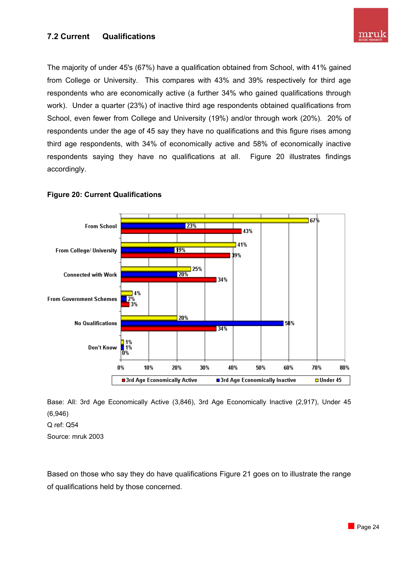## **7.2 Current Qualifications**

The majority of under 45's (67%) have a qualification obtained from School, with 41% gained from College or University. This compares with 43% and 39% respectively for third age respondents who are economically active (a further 34% who gained qualifications through work). Under a quarter (23%) of inactive third age respondents obtained qualifications from School, even fewer from College and University (19%) and/or through work (20%). 20% of respondents under the age of 45 say they have no qualifications and this figure rises among third age respondents, with 34% of economically active and 58% of economically inactive respondents saying they have no qualifications at all. Figure 20 illustrates findings accordingly.



#### **Figure 20: Current Qualifications**

Base: All: 3rd Age Economically Active (3,846), 3rd Age Economically Inactive (2,917), Under 45 (6,946)

Q ref: Q54

Source: mruk 2003

Based on those who say they do have qualifications Figure 21 goes on to illustrate the range of qualifications held by those concerned.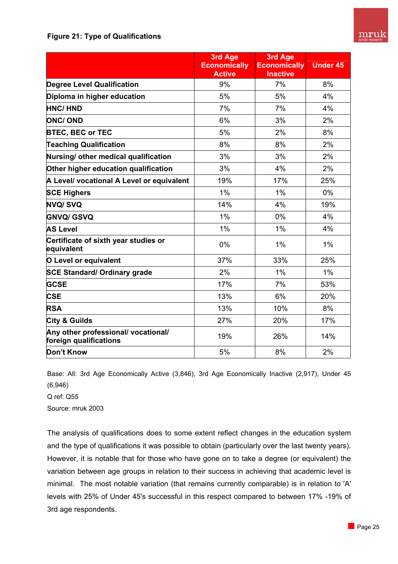## **Figure 21: Type of Qualifications**

|                                                               | 3rd Age<br><b>Economically</b><br><b>Active</b> | 3rd Age<br><b>Economically</b><br><b>Inactive</b> | <b>Under 45</b> |
|---------------------------------------------------------------|-------------------------------------------------|---------------------------------------------------|-----------------|
| <b>Degree Level Qualification</b>                             | 9%                                              | 7%                                                | 8%              |
| Diploma in higher education                                   | 5%                                              | 5%                                                | 4%              |
| <b>HNC/HND</b>                                                | 7%                                              | 7%                                                | 4%              |
| <b>ONC/ OND</b>                                               | 6%                                              | 3%                                                | 2%              |
| <b>BTEC, BEC or TEC</b>                                       | 5%                                              | 2%                                                | 8%              |
| <b>Teaching Qualification</b>                                 | 8%                                              | 8%                                                | 2%              |
| Nursing/ other medical qualification                          | 3%                                              | 3%                                                | 2%              |
| Other higher education qualification                          | 3%                                              | 4%                                                | 2%              |
| A Level/ vocational A Level or equivalent                     | 19%                                             | 17%                                               | 25%             |
| <b>SCE Highers</b>                                            | 1%                                              | 1%                                                | $0\%$           |
| <b>NVQ/SVQ</b>                                                | 14%                                             | 4%                                                | 19%             |
| <b>GNVQ/ GSVQ</b>                                             | $1\%$                                           | 0%                                                | 4%              |
| <b>AS Level</b>                                               | 1%                                              | 1%                                                | 4%              |
| Certificate of sixth year studies or<br>equivalent            | 0%                                              | 1%                                                | 1%              |
| <b>O</b> Level or equivalent                                  | 37%                                             | 33%                                               | 25%             |
| <b>SCE Standard/ Ordinary grade</b>                           | 2%                                              | 1%                                                | 1%              |
| <b>GCSE</b>                                                   | 17%                                             | 7%                                                | 53%             |
| <b>CSE</b>                                                    | 13%                                             | 6%                                                | 20%             |
| <b>RSA</b>                                                    | 13%                                             | 10%                                               | 8%              |
| <b>City &amp; Guilds</b>                                      | 27%                                             | 20%                                               | 17%             |
| Any other professional/ vocational/<br>foreign qualifications | 19%                                             | 26%                                               | 14%             |
| Don't Know                                                    | 5%                                              | 8%                                                | 2%              |

Base: All: 3rd Age Economically Active (3,846), 3rd Age Economically Inactive (2,917), Under 45 (6,946)

Q ref: Q55

Source: mruk 2003

The analysis of qualifications does to some extent reflect changes in the education system and the type of qualifications it was possible to obtain (particularly over the last twenty years). However, it is notable that for those who have gone on to take a degree (or equivalent) the variation between age groups in relation to their success in achieving that academic level is minimal. The most notable variation (that remains currently comparable) is in relation to 'A' levels with 25% of Under 45's successful in this respect compared to between 17% -19% of 3rd age respondents.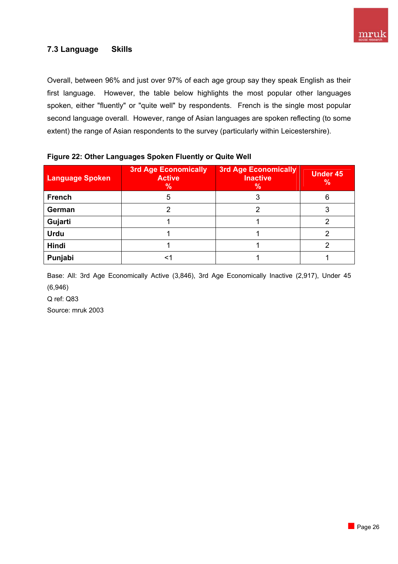

## **7.3 Language Skills**

Overall, between 96% and just over 97% of each age group say they speak English as their first language. However, the table below highlights the most popular other languages spoken, either "fluently" or "quite well" by respondents. French is the single most popular second language overall. However, range of Asian languages are spoken reflecting (to some extent) the range of Asian respondents to the survey (particularly within Leicestershire).

| <b>Language Spoken</b> | <b>3rd Age Economically</b><br><b>Active</b><br>% | <b>3rd Age Economically</b><br><b>Inactive</b><br>% | Under 45<br>$\%$ |
|------------------------|---------------------------------------------------|-----------------------------------------------------|------------------|
| <b>French</b>          |                                                   |                                                     | 6                |
| German                 |                                                   |                                                     |                  |
| Gujarti                |                                                   |                                                     |                  |
| <b>Urdu</b>            |                                                   |                                                     |                  |
| Hindi                  |                                                   |                                                     |                  |
| Punjabi                |                                                   |                                                     |                  |

#### **Figure 22: Other Languages Spoken Fluently or Quite Well**

Base: All: 3rd Age Economically Active (3,846), 3rd Age Economically Inactive (2,917), Under 45 (6,946)

Q ref: Q83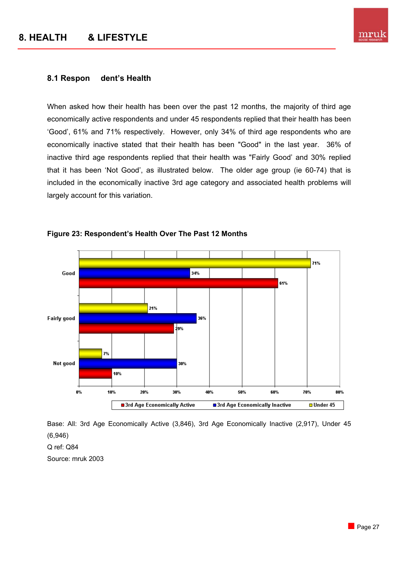

#### **8.1 Respon dent's Health**

When asked how their health has been over the past 12 months, the majority of third age economically active respondents and under 45 respondents replied that their health has been 'Good', 61% and 71% respectively. However, only 34% of third age respondents who are economically inactive stated that their health has been "Good" in the last year. 36% of inactive third age respondents replied that their health was "Fairly Good' and 30% replied that it has been 'Not Good', as illustrated below. The older age group (ie 60-74) that is included in the economically inactive 3rd age category and associated health problems will largely account for this variation.



#### **Figure 23: Respondent's Health Over The Past 12 Months**

Base: All: 3rd Age Economically Active (3,846), 3rd Age Economically Inactive (2,917), Under 45 (6,946) Q ref: Q84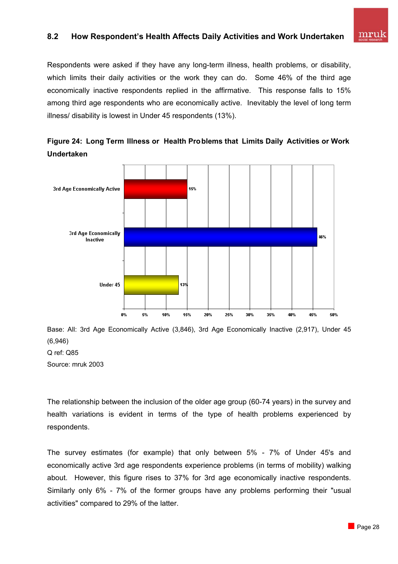## **8.2 How Respondent's Health Affects Daily Activities and Work Undertaken**

Respondents were asked if they have any long-term illness, health problems, or disability, which limits their daily activities or the work they can do. Some 46% of the third age economically inactive respondents replied in the affirmative. This response falls to 15% among third age respondents who are economically active. Inevitably the level of long term illness/ disability is lowest in Under 45 respondents (13%).



**Figure 24: Long Term Illness or Health Problems that Limits Daily Activities or Work Undertaken** 

Base: All: 3rd Age Economically Active (3,846), 3rd Age Economically Inactive (2,917), Under 45 (6,946) Q ref: Q85 Source: mruk 2003

The relationship between the inclusion of the older age group (60-74 years) in the survey and health variations is evident in terms of the type of health problems experienced by respondents.

The survey estimates (for example) that only between 5% - 7% of Under 45's and economically active 3rd age respondents experience problems (in terms of mobility) walking about. However, this figure rises to 37% for 3rd age economically inactive respondents. Similarly only 6% - 7% of the former groups have any problems performing their "usual activities" compared to 29% of the latter.

mruk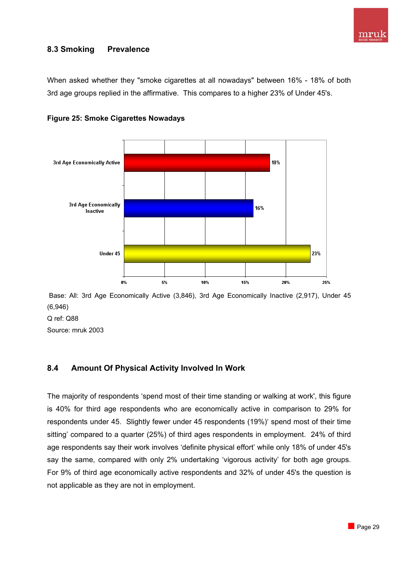

## **8.3 Smoking Prevalence**

When asked whether they "smoke cigarettes at all nowadays" between 16% - 18% of both 3rd age groups replied in the affirmative. This compares to a higher 23% of Under 45's.





 Base: All: 3rd Age Economically Active (3,846), 3rd Age Economically Inactive (2,917), Under 45 (6,946)

Q ref: Q88

Source: mruk 2003

## **8.4 Amount Of Physical Activity Involved In Work**

The majority of respondents 'spend most of their time standing or walking at work', this figure is 40% for third age respondents who are economically active in comparison to 29% for respondents under 45. Slightly fewer under 45 respondents (19%)' spend most of their time sitting' compared to a quarter (25%) of third ages respondents in employment. 24% of third age respondents say their work involves 'definite physical effort' while only 18% of under 45's say the same, compared with only 2% undertaking 'vigorous activity' for both age groups. For 9% of third age economically active respondents and 32% of under 45's the question is not applicable as they are not in employment.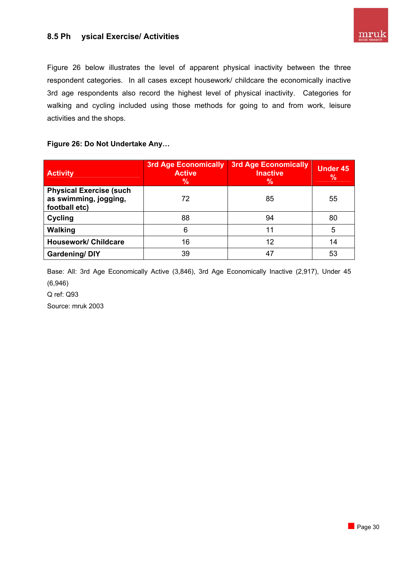Figure 26 below illustrates the level of apparent physical inactivity between the three respondent categories. In all cases except housework/ childcare the economically inactive 3rd age respondents also record the highest level of physical inactivity. Categories for walking and cycling included using those methods for going to and from work, leisure activities and the shops.

**Figure 26: Do Not Undertake Any…** 

| <b>Activity</b>                                                          | <b>3rd Age Economically</b><br><b>Active</b><br>$\%$ | <b>3rd Age Economically</b><br><b>Inactive</b><br>$\%$ | <b>Under 45</b><br>$\%$ |
|--------------------------------------------------------------------------|------------------------------------------------------|--------------------------------------------------------|-------------------------|
| <b>Physical Exercise (such</b><br>as swimming, jogging,<br>football etc) | 72                                                   | 85                                                     | 55                      |
| <b>Cycling</b>                                                           | 88                                                   | 94                                                     | 80                      |
| <b>Walking</b>                                                           | 6                                                    | 11                                                     | 5                       |
| <b>Housework/ Childcare</b>                                              | 16                                                   | 12                                                     | 14                      |
| <b>Gardening/DIY</b>                                                     | 39                                                   | 47                                                     | 53                      |

Base: All: 3rd Age Economically Active (3,846), 3rd Age Economically Inactive (2,917), Under 45 (6,946)

Q ref: Q93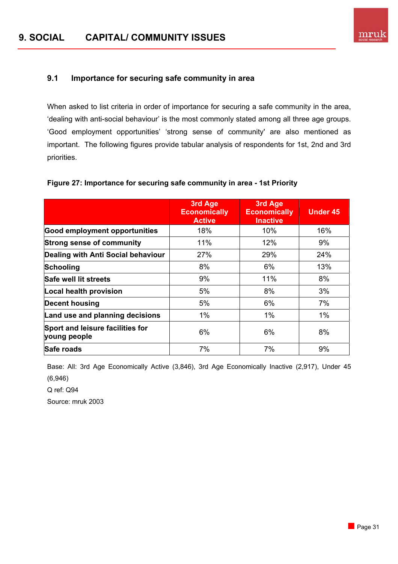## **9.1 Importance for securing safe community in area**

When asked to list criteria in order of importance for securing a safe community in the area, 'dealing with anti-social behaviour' is the most commonly stated among all three age groups. 'Good employment opportunities' 'strong sense of community' are also mentioned as important. The following figures provide tabular analysis of respondents for 1st, 2nd and 3rd priorities.

#### **Figure 27: Importance for securing safe community in area - 1st Priority**

|                                                  | 3rd Age<br><b>Economically</b><br><b>Active</b> | 3rd Age<br><b>Economically</b><br><b>Inactive</b> | <b>Under 45</b> |
|--------------------------------------------------|-------------------------------------------------|---------------------------------------------------|-----------------|
| <b>Good employment opportunities</b>             | 18%                                             | 10%                                               | 16%             |
| <b>Strong sense of community</b>                 | 11%                                             | 12%                                               | 9%              |
| Dealing with Anti Social behaviour               | 27%                                             | 29%                                               | 24%             |
| Schooling                                        | 8%                                              | 6%                                                | 13%             |
| Safe well lit streets                            | 9%                                              | 11%                                               | 8%              |
| Local health provision                           | 5%                                              | 8%                                                | 3%              |
| <b>Decent housing</b>                            | 5%                                              | 6%                                                | 7%              |
| Land use and planning decisions                  | 1%                                              | $1\%$                                             | $1\%$           |
| Sport and leisure facilities for<br>young people | 6%                                              | 6%                                                | 8%              |
| Safe roads                                       | 7%                                              | 7%                                                | 9%              |

Base: All: 3rd Age Economically Active (3,846), 3rd Age Economically Inactive (2,917), Under 45 (6,946)

Q ref: Q94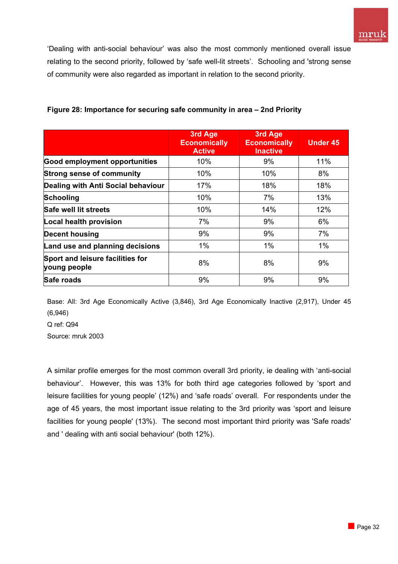'Dealing with anti-social behaviour' was also the most commonly mentioned overall issue relating to the second priority, followed by 'safe well-lit streets'. Schooling and 'strong sense of community were also regarded as important in relation to the second priority.

|                                                  | 3rd Age<br><b>Economically</b><br><b>Active</b> | 3rd Age<br><b>Economically</b><br><b>Inactive</b> | <b>Under 45</b> |
|--------------------------------------------------|-------------------------------------------------|---------------------------------------------------|-----------------|
| <b>Good employment opportunities</b>             | 10%                                             | 9%                                                | 11%             |
| <b>Strong sense of community</b>                 | 10%                                             | 10%                                               | 8%              |
| Dealing with Anti Social behaviour               | 17%                                             | 18%                                               | 18%             |
| <b>Schooling</b>                                 | 10%                                             | 7%                                                | 13%             |
| Safe well lit streets                            | 10%                                             | 14%                                               | 12%             |
| <b>Local health provision</b>                    | 7%                                              | 9%                                                | 6%              |
| <b>Decent housing</b>                            | 9%                                              | 9%                                                | 7%              |
| Land use and planning decisions                  | $1\%$                                           | $1\%$                                             | $1\%$           |
| Sport and leisure facilities for<br>young people | 8%                                              | 8%                                                | 9%              |
| <b>Safe roads</b>                                | 9%                                              | 9%                                                | 9%              |

## **Figure 28: Importance for securing safe community in area – 2nd Priority**

Base: All: 3rd Age Economically Active (3,846), 3rd Age Economically Inactive (2,917), Under 45 (6,946)

Q ref: Q94 Source: mruk 2003

A similar profile emerges for the most common overall 3rd priority, ie dealing with 'anti-social behaviour'. However, this was 13% for both third age categories followed by 'sport and leisure facilities for young people' (12%) and 'safe roads' overall. For respondents under the age of 45 years, the most important issue relating to the 3rd priority was 'sport and leisure facilities for young people' (13%). The second most important third priority was 'Safe roads' and ' dealing with anti social behaviour' (both 12%).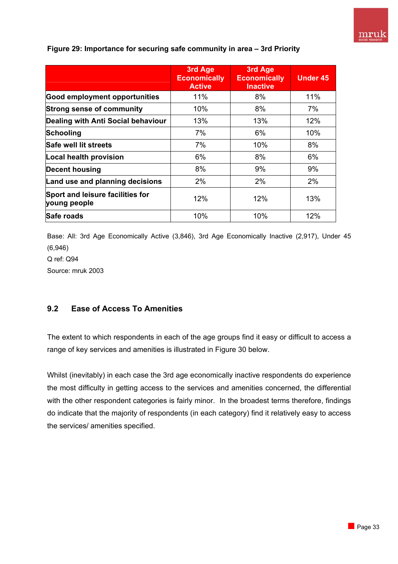

|                                                  | 3rd Age<br><b>Economically</b><br><b>Active</b> | 3rd Age<br><b>Economically</b><br><b>Inactive</b> | <b>Under 45</b> |
|--------------------------------------------------|-------------------------------------------------|---------------------------------------------------|-----------------|
| <b>Good employment opportunities</b>             | 11%                                             | 8%                                                | 11%             |
| <b>Strong sense of community</b>                 | 10%                                             | 8%                                                | 7%              |
| Dealing with Anti Social behaviour               | 13%                                             | 13%                                               | 12%             |
| <b>Schooling</b>                                 | 7%                                              | 6%                                                | 10%             |
| Safe well lit streets                            | 7%                                              | 10%                                               | 8%              |
| Local health provision                           | 6%                                              | 8%                                                | 6%              |
| <b>Decent housing</b>                            | 8%                                              | 9%                                                | 9%              |
| Land use and planning decisions                  | 2%                                              | 2%                                                | 2%              |
| Sport and leisure facilities for<br>young people | 12%                                             | 12%                                               | 13%             |
| Safe roads                                       | 10%                                             | 10%                                               | 12%             |

#### **Figure 29: Importance for securing safe community in area – 3rd Priority**

Base: All: 3rd Age Economically Active (3,846), 3rd Age Economically Inactive (2,917), Under 45 (6,946) Q ref: Q94 Source: mruk 2003

## **9.2 Ease of Access To Amenities**

The extent to which respondents in each of the age groups find it easy or difficult to access a range of key services and amenities is illustrated in Figure 30 below.

Whilst (inevitably) in each case the 3rd age economically inactive respondents do experience the most difficulty in getting access to the services and amenities concerned, the differential with the other respondent categories is fairly minor. In the broadest terms therefore, findings do indicate that the majority of respondents (in each category) find it relatively easy to access the services/ amenities specified.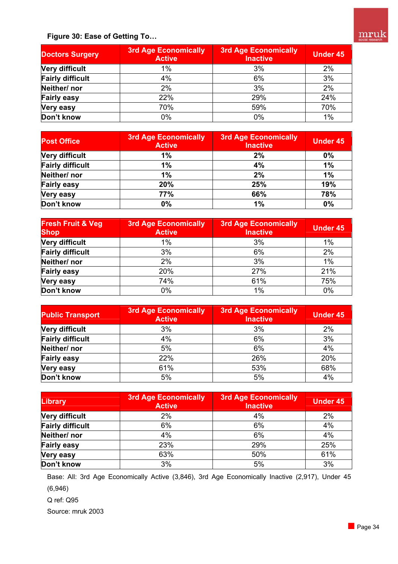

**Figure 30: Ease of Getting To…** 

| <b>Doctors Surgery</b>  | <b>3rd Age Economically</b><br><b>Active</b> | <b>3rd Age Economically</b><br><b>Inactive</b> | <b>Under 45</b> |
|-------------------------|----------------------------------------------|------------------------------------------------|-----------------|
| <b>Very difficult</b>   | 1%                                           | 3%                                             | 2%              |
| <b>Fairly difficult</b> | 4%                                           | 6%                                             | 3%              |
| Neither/nor             | 2%                                           | 3%                                             | 2%              |
| <b>Fairly easy</b>      | 22%                                          | 29%                                            | 24%             |
| <b>Very easy</b>        | 70%                                          | 59%                                            | 70%             |
| Don't know              | 0%                                           | 0%                                             | 1%              |

| <b>Post Office</b>      | <b>3rd Age Economically</b><br><b>Active</b> | <b>3rd Age Economically</b><br><b>Inactive</b> | <b>Under 45</b> |
|-------------------------|----------------------------------------------|------------------------------------------------|-----------------|
| <b>Very difficult</b>   | 1%                                           | 2%                                             | 0%              |
| <b>Fairly difficult</b> | 1%                                           | 4%                                             | 1%              |
| Neither/nor             | 1%                                           | 2%                                             | 1%              |
| <b>Fairly easy</b>      | 20%                                          | 25%                                            | 19%             |
| <b>Very easy</b>        | 77%                                          | 66%                                            | 78%             |
| Don't know              | 0%                                           | 1%                                             | 0%              |

| <b>Fresh Fruit &amp; Veg</b><br><b>Shop</b> | <b>3rd Age Economically</b><br><b>Active</b> | <b>3rd Age Economically</b><br><b>Inactive</b> | <b>Under 45</b> |
|---------------------------------------------|----------------------------------------------|------------------------------------------------|-----------------|
| <b>Very difficult</b>                       | $1\%$                                        | 3%                                             | $1\%$           |
| <b>Fairly difficult</b>                     | 3%                                           | 6%                                             | 2%              |
| Neither/nor                                 | 2%                                           | 3%                                             |                 |
| <b>Fairly easy</b>                          | 20%                                          | 27%                                            | 21%             |
| <b>Very easy</b>                            | 74%                                          | 61%                                            | 75%             |
| Don't know                                  | 0%                                           | 1%                                             | 0%              |

| <b>Public Transport</b> | 3rd Age Economically<br><b>Active</b> | <b>3rd Age Economically</b><br><b>Inactive</b> | <b>Under 45</b> |
|-------------------------|---------------------------------------|------------------------------------------------|-----------------|
| <b>Very difficult</b>   | 3%                                    | 3%                                             | 2%              |
| <b>Fairly difficult</b> | 4%                                    | 6%                                             |                 |
| Neither/nor             | 5%                                    | 6%                                             | 4%              |
| <b>Fairly easy</b>      | 22%                                   | 26%                                            | 20%             |
| <b>Very easy</b>        | 61%                                   | 53%                                            | 68%             |
| Don't know              | 5%                                    | 5%                                             | 4%              |

| <b>Library</b>          | 3rd Age Economically<br><b>Active</b> | <b>3rd Age Economically</b><br><b>Inactive</b> | <b>Under 45</b> |
|-------------------------|---------------------------------------|------------------------------------------------|-----------------|
| <b>Very difficult</b>   | 2%                                    | 4%                                             | 2%              |
| <b>Fairly difficult</b> | 6%                                    | 6%                                             | 4%              |
| Neither/nor             | 4%                                    | 6%                                             | 4%              |
| <b>Fairly easy</b>      | 23%                                   | 29%                                            | 25%             |
| <b>Very easy</b>        | 63%                                   | 50%                                            | 61%             |
| Don't know              | 3%                                    | 5%                                             | 3%              |

Base: All: 3rd Age Economically Active (3,846), 3rd Age Economically Inactive (2,917), Under 45 (6,946)

Q ref: Q95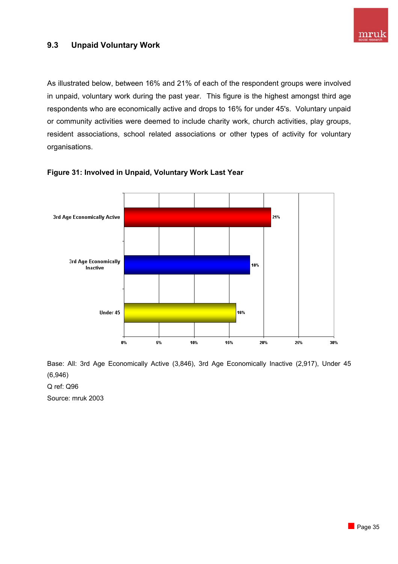

## **9.3 Unpaid Voluntary Work**

As illustrated below, between 16% and 21% of each of the respondent groups were involved in unpaid, voluntary work during the past year. This figure is the highest amongst third age respondents who are economically active and drops to 16% for under 45's. Voluntary unpaid or community activities were deemed to include charity work, church activities, play groups, resident associations, school related associations or other types of activity for voluntary organisations.



#### **Figure 31: Involved in Unpaid, Voluntary Work Last Year**

Base: All: 3rd Age Economically Active (3,846), 3rd Age Economically Inactive (2,917), Under 45 (6,946)

Q ref: Q96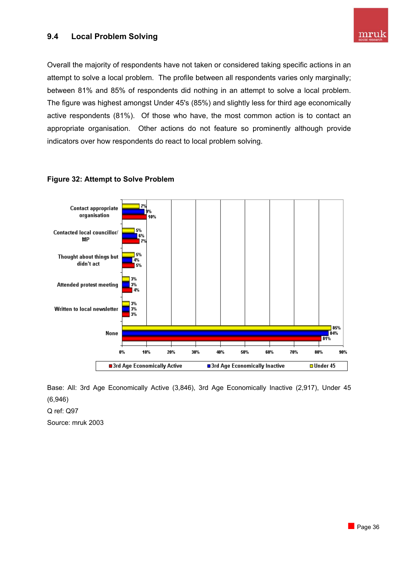## **9.4 Local Problem Solving**



Overall the majority of respondents have not taken or considered taking specific actions in an attempt to solve a local problem. The profile between all respondents varies only marginally; between 81% and 85% of respondents did nothing in an attempt to solve a local problem. The figure was highest amongst Under 45's (85%) and slightly less for third age economically active respondents (81%). Of those who have, the most common action is to contact an appropriate organisation. Other actions do not feature so prominently although provide indicators over how respondents do react to local problem solving.



#### **Figure 32: Attempt to Solve Problem**

Base: All: 3rd Age Economically Active (3,846), 3rd Age Economically Inactive (2,917), Under 45 (6,946)

Q ref: Q97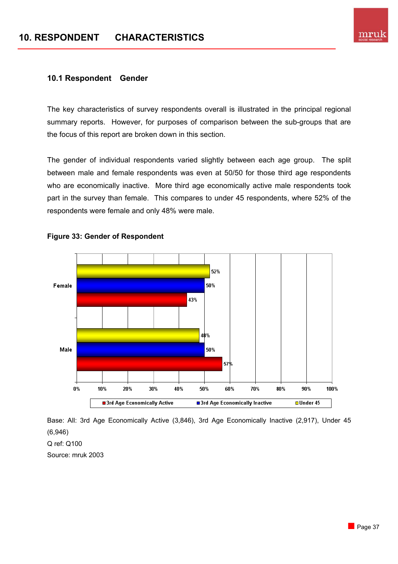

#### **10.1 Respondent Gender**

The key characteristics of survey respondents overall is illustrated in the principal regional summary reports. However, for purposes of comparison between the sub-groups that are the focus of this report are broken down in this section.

The gender of individual respondents varied slightly between each age group. The split between male and female respondents was even at 50/50 for those third age respondents who are economically inactive. More third age economically active male respondents took part in the survey than female. This compares to under 45 respondents, where 52% of the respondents were female and only 48% were male.



#### **Figure 33: Gender of Respondent**

Base: All: 3rd Age Economically Active (3,846), 3rd Age Economically Inactive (2,917), Under 45 (6,946)

Q ref: Q100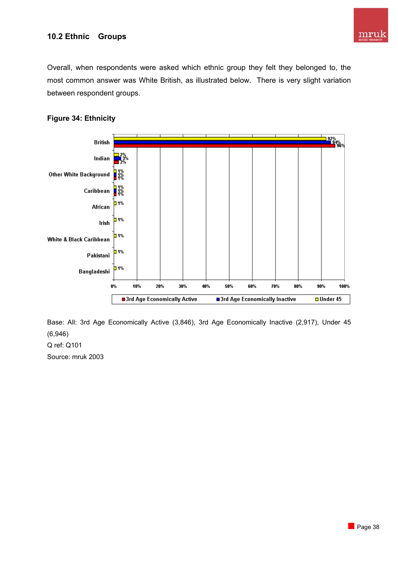

## **10.2 Ethnic Groups**

Overall, when respondents were asked which ethnic group they felt they belonged to, the most common answer was White British, as illustrated below. There is very slight variation between respondent groups.

## **Figure 34: Ethnicity**



Base: All: 3rd Age Economically Active (3,846), 3rd Age Economically Inactive (2,917), Under 45 (6,946)

Q ref: Q101 Source: mruk 2003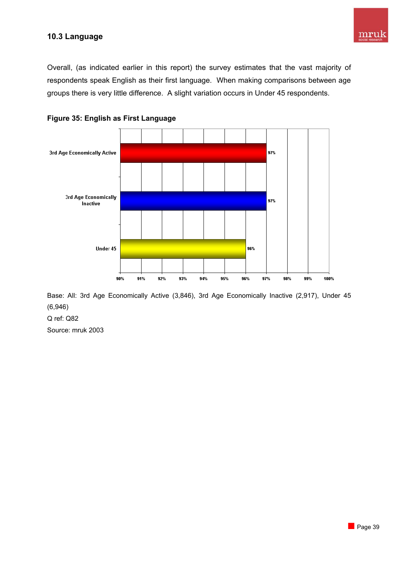## **10.3 Language**

Overall, (as indicated earlier in this report) the survey estimates that the vast majority of respondents speak English as their first language. When making comparisons between age groups there is very little difference. A slight variation occurs in Under 45 respondents.





Base: All: 3rd Age Economically Active (3,846), 3rd Age Economically Inactive (2,917), Under 45 (6,946)

Q ref: Q82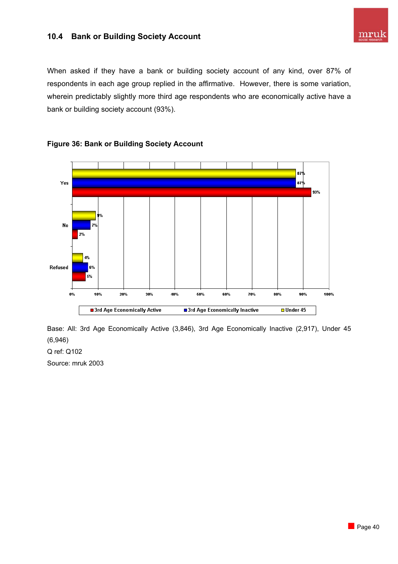## **10.4 Bank or Building Society Account**



When asked if they have a bank or building society account of any kind, over 87% of respondents in each age group replied in the affirmative. However, there is some variation, wherein predictably slightly more third age respondents who are economically active have a bank or building society account (93%).



## **Figure 36: Bank or Building Society Account**

Base: All: 3rd Age Economically Active (3,846), 3rd Age Economically Inactive (2,917), Under 45 (6,946)

Q ref: Q102 Source: mruk 2003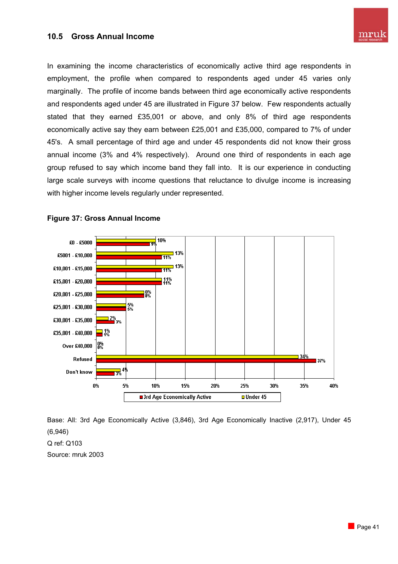#### **10.5 Gross Annual Income**

In examining the income characteristics of economically active third age respondents in employment, the profile when compared to respondents aged under 45 varies only marginally. The profile of income bands between third age economically active respondents and respondents aged under 45 are illustrated in Figure 37 below. Few respondents actually stated that they earned £35,001 or above, and only 8% of third age respondents economically active say they earn between £25,001 and £35,000, compared to 7% of under 45's. A small percentage of third age and under 45 respondents did not know their gross annual income (3% and 4% respectively). Around one third of respondents in each age group refused to say which income band they fall into. It is our experience in conducting large scale surveys with income questions that reluctance to divulge income is increasing with higher income levels regularly under represented.



#### **Figure 37: Gross Annual Income**

Base: All: 3rd Age Economically Active (3,846), 3rd Age Economically Inactive (2,917), Under 45 (6,946) Q ref: Q103 Source: mruk 2003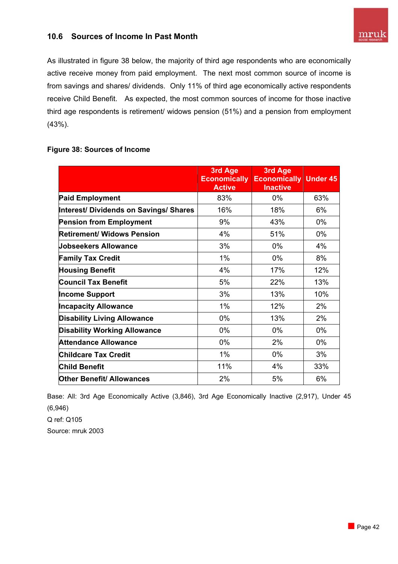## **10.6 Sources of Income In Past Month**

As illustrated in figure 38 below, the majority of third age respondents who are economically active receive money from paid employment. The next most common source of income is from savings and shares/ dividends. Only 11% of third age economically active respondents receive Child Benefit. As expected, the most common sources of income for those inactive third age respondents is retirement/ widows pension (51%) and a pension from employment (43%).

#### **Figure 38: Sources of Income**

|                                        | 3rd Age<br><b>Economically</b><br><b>Active</b> | 3rd Age<br><b>Economically Under 45</b><br><b>Inactive</b> |       |
|----------------------------------------|-------------------------------------------------|------------------------------------------------------------|-------|
| <b>Paid Employment</b>                 | 83%                                             | 0%                                                         | 63%   |
| Interest/ Dividends on Savings/ Shares | 16%                                             | 18%                                                        | 6%    |
| <b>Pension from Employment</b>         | 9%                                              | 43%                                                        | $0\%$ |
| <b>Retirement/ Widows Pension</b>      | 4%                                              | 51%                                                        | $0\%$ |
| Jobseekers Allowance                   | 3%                                              | 0%                                                         | 4%    |
| <b>Family Tax Credit</b>               | $1\%$                                           | 0%                                                         | 8%    |
| <b>Housing Benefit</b>                 | 4%                                              | 17%                                                        | 12%   |
| <b>Council Tax Benefit</b>             | 5%                                              | 22%                                                        | 13%   |
| <b>Income Support</b>                  | 3%                                              | 13%                                                        | 10%   |
| <b>Incapacity Allowance</b>            | $1\%$                                           | 12%                                                        | 2%    |
| <b>Disability Living Allowance</b>     | 0%                                              | 13%                                                        | 2%    |
| <b>Disability Working Allowance</b>    | 0%                                              | $0\%$                                                      | $0\%$ |
| <b>Attendance Allowance</b>            | 0%                                              | 2%                                                         | $0\%$ |
| <b>Childcare Tax Credit</b>            | $1\%$                                           | $0\%$                                                      | 3%    |
| <b>Child Benefit</b>                   | 11%                                             | 4%                                                         | 33%   |
| <b>Other Benefit/ Allowances</b>       | 2%                                              | 5%                                                         | 6%    |

Base: All: 3rd Age Economically Active (3,846), 3rd Age Economically Inactive (2,917), Under 45 (6,946)

Q ref: Q105 Source: mruk 2003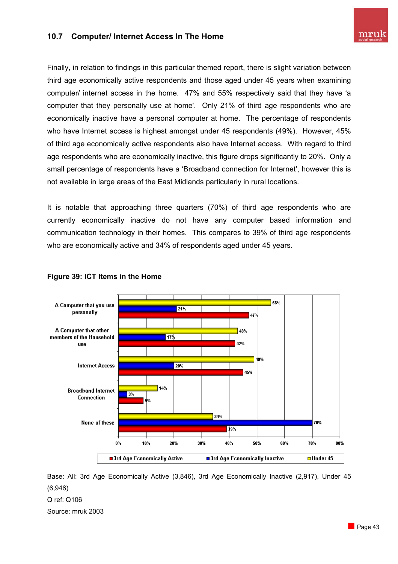## **10.7 Computer/ Internet Access In The Home**

Finally, in relation to findings in this particular themed report, there is slight variation between third age economically active respondents and those aged under 45 years when examining computer/ internet access in the home. 47% and 55% respectively said that they have 'a computer that they personally use at home'. Only 21% of third age respondents who are economically inactive have a personal computer at home. The percentage of respondents who have Internet access is highest amongst under 45 respondents (49%). However, 45% of third age economically active respondents also have Internet access. With regard to third age respondents who are economically inactive, this figure drops significantly to 20%. Only a small percentage of respondents have a 'Broadband connection for Internet', however this is not available in large areas of the East Midlands particularly in rural locations.

It is notable that approaching three quarters (70%) of third age respondents who are currently economically inactive do not have any computer based information and communication technology in their homes. This compares to 39% of third age respondents who are economically active and 34% of respondents aged under 45 years.



## **Figure 39: ICT Items in the Home**

Base: All: 3rd Age Economically Active (3,846), 3rd Age Economically Inactive (2,917), Under 45 (6,946) Q ref: Q106